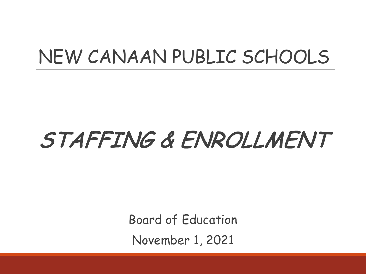## NEW CANAAN PUBLIC SCHOOLS

# STAFFING & ENROLLMENT

Board of Education November 1, 2021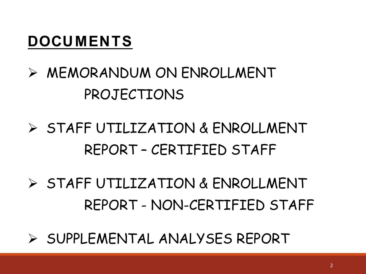### **DOCUMENTS**

## $\triangleright$  MEMORANDUM ON ENROLLMENT PROJECTIONS

- Ø STAFF UTILIZATION & ENROLLMENT REPORT – CERTIFIED STAFF
- Ø STAFF UTILIZATION & ENROLLMENT REPORT - NON-CERTIFIED STAFF
- Ø SUPPLEMENTAL ANALYSES REPORT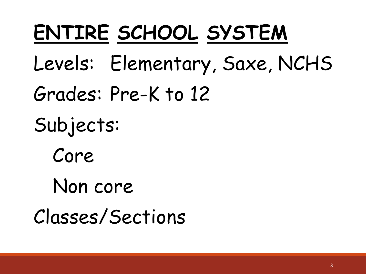# **ENTIRE SCHOOL SYSTEM**

- Levels: Elementary, Saxe, NCHS
- Grades: Pre-K to 12
- Subjects:
	- Core
	- Non core
- Classes/Sections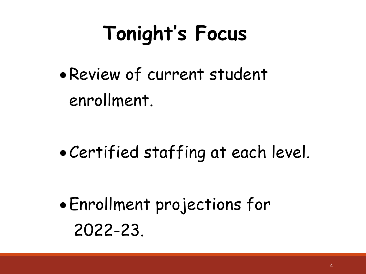# **Tonight's Focus**

•Review of current student enrollment.

•Certified staffing at each level.

•Enrollment projections for 2022-23.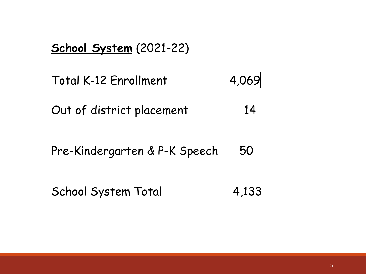#### **School System** (2021-22)

Total K-12 Enrollment 4,069

Out of district placement 14

Pre-Kindergarten & P-K Speech 50

School System Total 4,133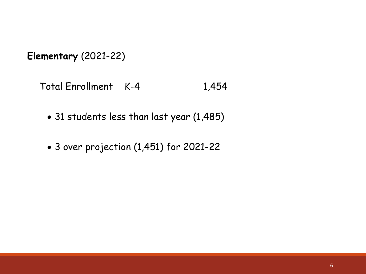**Elementary** (2021-22)

Total Enrollment K-4 1,454

- 31 students less than last year (1,485)
- 3 over projection (1,451) for 2021-22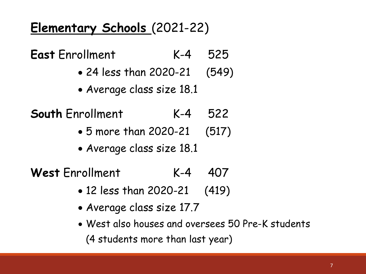### **Elementary Schools** (2021-22)

**East** Enrollment K-4 525

- 24 less than 2020-21 (549)
- Average class size 18.1
- **South** Enrollment K-4 522
	- 5 more than 2020-21 (517)
	- Average class size 18.1

**West** Enrollment K-4 407

- 12 less than 2020-21 (419)
- Average class size 17.7
- West also houses and oversees 50 Pre-K students (4 students more than last year)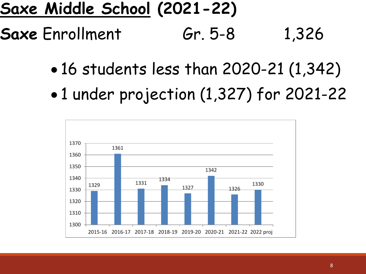## **Saxe Middle School (2021-22)**

- **Saxe** Enrollment Gr. 5-8 1,326
	- 16 students less than 2020-21 (1,342)
	- 1 under projection (1,327) for 2021-22

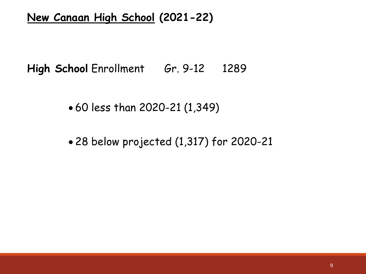#### **New Canaan High School (2021-22)**

High School Enrollment Gr. 9-12 1289

• 60 less than 2020-21 (1,349)

• 28 below projected (1,317) for 2020-21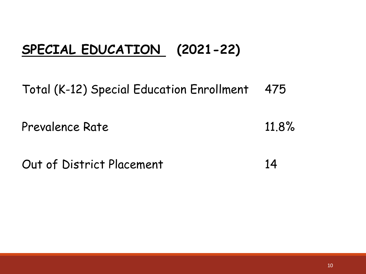### **SPECIAL EDUCATION (2021-22)**

Total (K-12) Special Education Enrollment 475

Prevalence Rate 11.8%

Out of District Placement 14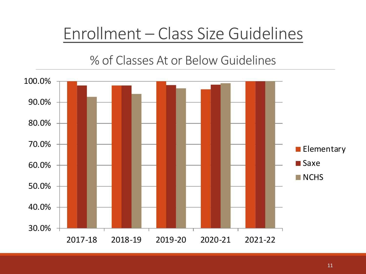## Enrollment – Class Size Guidelines

#### % of Classes At or Below Guidelines

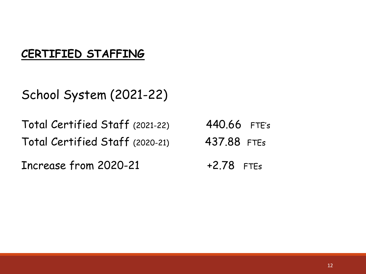#### **CERTIFIED STAFFING**

School System (2021-22)

Total Certified Staff (2021-22) 440.66 FTE's Total Certified Staff (2020-21) 437.88 FTEs

Increase from  $2020-21$   $+2.78$  FTEs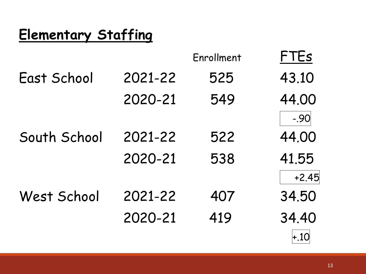## **Elementary Staffing**

|              |         | Enrollment | FTEs    |
|--------------|---------|------------|---------|
| East School  | 2021-22 | 525        | 43.10   |
|              | 2020-21 | 549        | 44.00   |
|              |         |            | $-.90$  |
| South School | 2021-22 | 522        | 44.00   |
|              | 2020-21 | 538        | 41.55   |
|              |         |            | $+2.45$ |
| West School  | 2021-22 | 407        | 34.50   |
|              | 2020-21 | 419        | 34.40   |
|              |         |            | $+.10$  |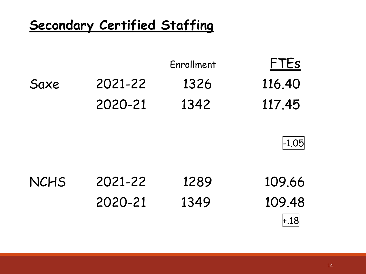### **Secondary Certified Staffing**

|      |         | Enrollment | <b>FTEs</b> |
|------|---------|------------|-------------|
| Saxe | 2021-22 | 1326       | 116.40      |
|      | 2020-21 | 1342       | 117.45      |



| <b>NCHS</b> | 2021-22 | 1289 | 109.66 |
|-------------|---------|------|--------|
|             | 2020-21 | 1349 | 109.48 |
|             |         |      | $+.18$ |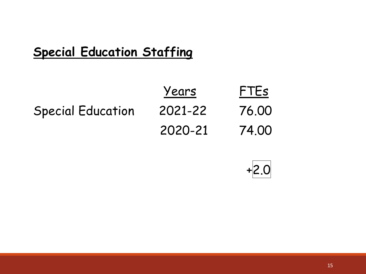### **Special Education Staffing**

|                          | Years   | FTEs  |
|--------------------------|---------|-------|
| <b>Special Education</b> | 2021-22 | 76.00 |
|                          | 2020-21 | 74.00 |

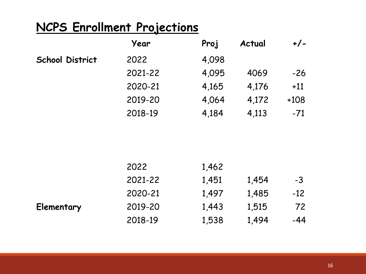#### **NCPS Enrollment Projections**

|                        | Year    | Proj  | Actual | $+/-$  |
|------------------------|---------|-------|--------|--------|
| <b>School District</b> | 2022    | 4,098 |        |        |
|                        | 2021-22 | 4,095 | 4069   | $-26$  |
|                        | 2020-21 | 4,165 | 4,176  | $+11$  |
|                        | 2019-20 | 4,064 | 4,172  | $+108$ |
|                        | 2018-19 | 4,184 | 4,113  | $-71$  |
|                        |         |       |        |        |

| 2022    | 1,462 |       |       |
|---------|-------|-------|-------|
| 2021-22 | 1,451 | 1,454 | $-3$  |
| 2020-21 | 1,497 | 1,485 | $-12$ |
| 2019-20 | 1,443 | 1,515 | 72    |
| 2018-19 | 1,538 | 1,494 | $-44$ |
|         |       |       |       |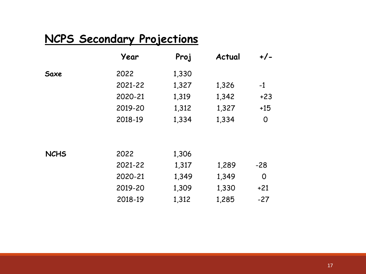#### **NCPS Secondary Projections**

|      | Year    | Proj  | Actual | $+/-$ |
|------|---------|-------|--------|-------|
| Saxe | 2022    | 1,330 |        |       |
|      | 2021-22 | 1,327 | 1,326  | $-1$  |
|      | 2020-21 | 1,319 | 1,342  | $+23$ |
|      | 2019-20 | 1,312 | 1,327  | $+15$ |
|      | 2018-19 | 1,334 | 1,334  | 0     |

| <b>NCHS</b> | 2022    | 1,306 |       |       |
|-------------|---------|-------|-------|-------|
|             | 2021-22 | 1,317 | 1,289 | $-28$ |
|             | 2020-21 | 1,349 | 1,349 | O     |
|             | 2019-20 | 1,309 | 1,330 | $+21$ |
|             | 2018-19 | 1,312 | 1,285 | $-27$ |